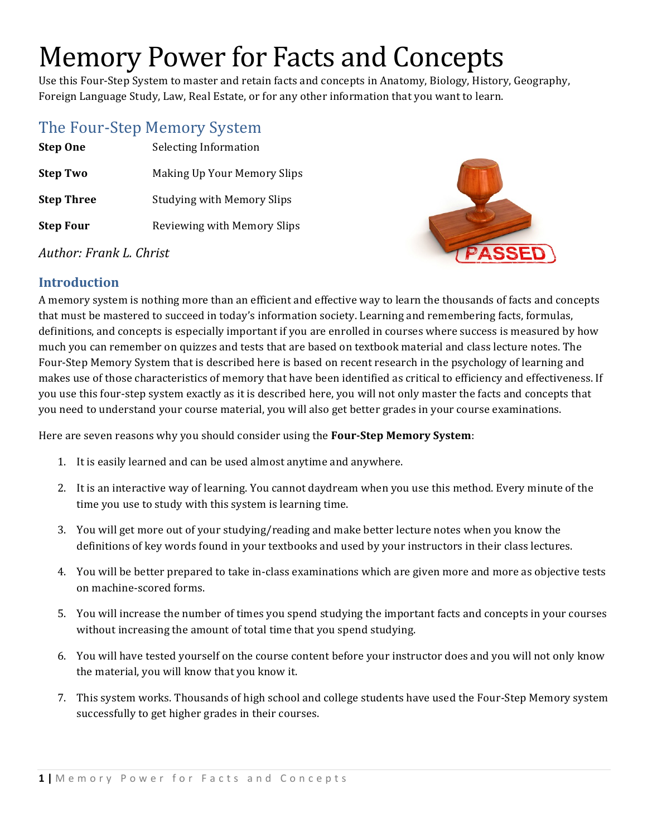# Memory Power for Facts and Concepts

Use this Four-Step System to master and retain facts and concepts in Anatomy, Biology, History, Geography, Foreign Language Study, Law, Real Estate, or for any other information that you want to learn.

## The Four-Step Memory System

**Step One** Selecting Information **Step Two** Making Up Your Memory Slips **Step Three** Studying with Memory Slips **Step Four** Reviewing with Memory Slips



#### *Author: Frank L. Christ*

#### **Introduction**

A memory system is nothing more than an efficient and effective way to learn the thousands of facts and concepts that must be mastered to succeed in today's information society. Learning and remembering facts, formulas, definitions, and concepts is especially important if you are enrolled in courses where success is measured by how much you can remember on quizzes and tests that are based on textbook material and class lecture notes. The Four-Step Memory System that is described here is based on recent research in the psychology of learning and makes use of those characteristics of memory that have been identified as critical to efficiency and effectiveness. If you use this four-step system exactly as it is described here, you will not only master the facts and concepts that you need to understand your course material, you will also get better grades in your course examinations.

Here are seven reasons why you should consider using the Four-Step Memory System:

- 1. It is easily learned and can be used almost anytime and anywhere.
- 2. It is an interactive way of learning. You cannot daydream when you use this method. Every minute of the time you use to study with this system is learning time.
- 3. You will get more out of your studying/reading and make better lecture notes when you know the definitions of key words found in your textbooks and used by your instructors in their class lectures.
- 4. You will be better prepared to take in-class examinations which are given more and more as objective tests on machine-scored forms.
- 5. You will increase the number of times you spend studying the important facts and concepts in your courses without increasing the amount of total time that you spend studying.
- 6. You will have tested yourself on the course content before your instructor does and you will not only know the material, you will know that you know it.
- 7. This system works. Thousands of high school and college students have used the Four-Step Memory system successfully to get higher grades in their courses.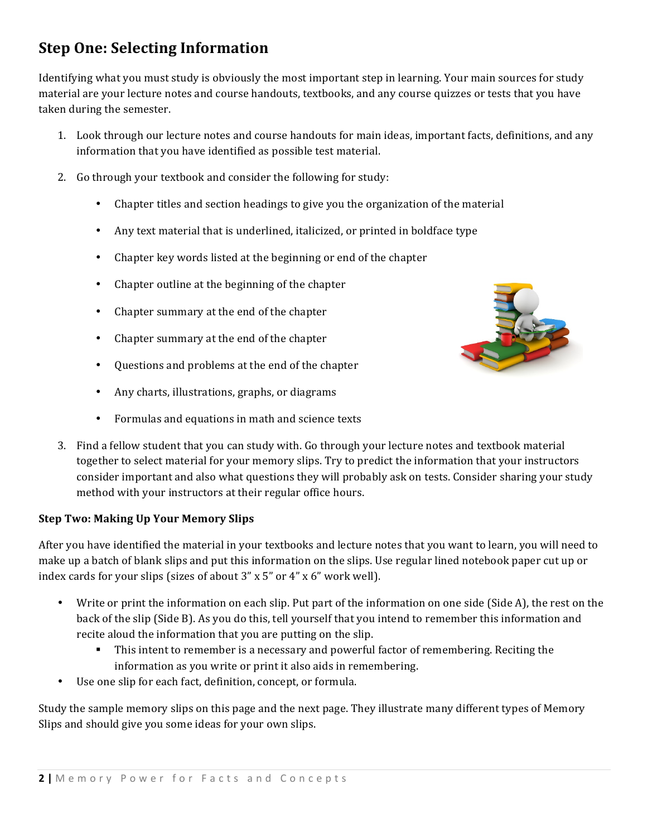# **Step One: Selecting Information**

Identifying what you must study is obviously the most important step in learning. Your main sources for study material are your lecture notes and course handouts, textbooks, and any course quizzes or tests that you have taken during the semester.

- 1. Look through our lecture notes and course handouts for main ideas, important facts, definitions, and any information that you have identified as possible test material.
- 2. Go through your textbook and consider the following for study:
	- Chapter titles and section headings to give you the organization of the material
	- Any text material that is underlined, italicized, or printed in boldface type
	- Chapter key words listed at the beginning or end of the chapter
	- Chapter outline at the beginning of the chapter
	- Chapter summary at the end of the chapter
	- Chapter summary at the end of the chapter
	- Questions and problems at the end of the chapter
	- Any charts, illustrations, graphs, or diagrams
	- Formulas and equations in math and science texts
- 3. Find a fellow student that you can study with. Go through your lecture notes and textbook material together to select material for your memory slips. Try to predict the information that your instructors consider important and also what questions they will probably ask on tests. Consider sharing your study method with your instructors at their regular office hours.

#### **Step Two: Making Up Your Memory Slips**

After you have identified the material in your textbooks and lecture notes that you want to learn, you will need to make up a batch of blank slips and put this information on the slips. Use regular lined notebook paper cut up or index cards for your slips (sizes of about  $3''$  x  $5''$  or  $4''$  x  $6''$  work well).

- Write or print the information on each slip. Put part of the information on one side (Side A), the rest on the back of the slip (Side B). As you do this, tell yourself that you intend to remember this information and recite aloud the information that you are putting on the slip.
	- This intent to remember is a necessary and powerful factor of remembering. Reciting the information as you write or print it also aids in remembering.
- Use one slip for each fact, definition, concept, or formula.

Study the sample memory slips on this page and the next page. They illustrate many different types of Memory Slips and should give you some ideas for your own slips.

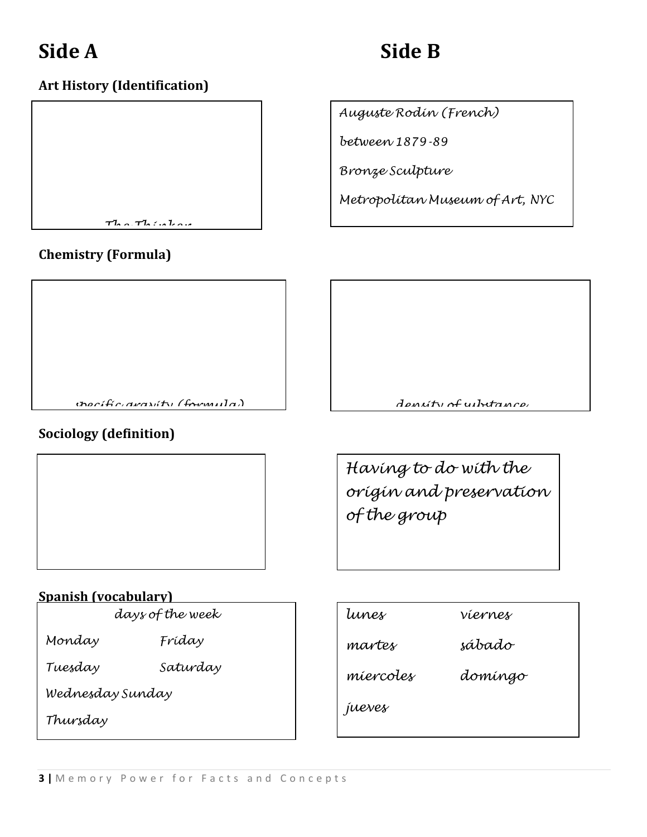# **Side A Side B**

*Auguste Rodin (French)*

*Metropolitan Museum of Art, NYC*

*between 1879-89*

*Bronze Sculpture*

### **Art History (Identification)**



### **Chemistry (Formula)**

*specific gravity (formula) density of substance*

#### **Sociology (definition)**



#### **Spanish (vocabulary)**

*days of the week*

*Monday Friday*

*Tuesday Saturday*

*Wednesday Sunday*

*Thursday*

| tunes     | víernes |
|-----------|---------|
| martes    | sábado  |
| miercoles | domíngo |
| jueves    |         |
|           |         |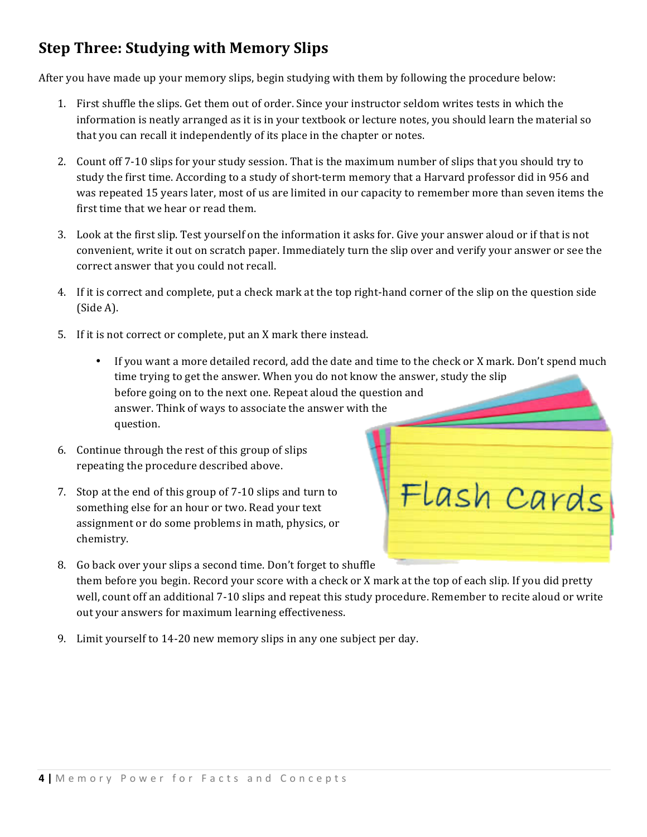# **Step Three: Studying with Memory Slips**

After you have made up your memory slips, begin studying with them by following the procedure below:

- 1. First shuffle the slips. Get them out of order. Since your instructor seldom writes tests in which the information is neatly arranged as it is in your textbook or lecture notes, you should learn the material so that you can recall it independently of its place in the chapter or notes.
- 2. Count off 7-10 slips for your study session. That is the maximum number of slips that you should try to study the first time. According to a study of short-term memory that a Harvard professor did in 956 and was repeated 15 years later, most of us are limited in our capacity to remember more than seven items the first time that we hear or read them.
- 3. Look at the first slip. Test yourself on the information it asks for. Give your answer aloud or if that is not convenient, write it out on scratch paper. Immediately turn the slip over and verify your answer or see the correct answer that you could not recall.
- 4. If it is correct and complete, put a check mark at the top right-hand corner of the slip on the question side  $(Side A)$ .
- 5. If it is not correct or complete, put an X mark there instead.
	- If you want a more detailed record, add the date and time to the check or X mark. Don't spend much time trying to get the answer. When you do not know the answer, study the slip before going on to the next one. Repeat aloud the question and answer. Think of ways to associate the answer with the question.
- 6. Continue through the rest of this group of slips repeating the procedure described above.
- 7. Stop at the end of this group of 7-10 slips and turn to something else for an hour or two. Read your text assignment or do some problems in math, physics, or chemistry.
- Flash Cards
- 8. Go back over your slips a second time. Don't forget to shuffle them before you begin. Record your score with a check or X mark at the top of each slip. If you did pretty well, count off an additional 7-10 slips and repeat this study procedure. Remember to recite aloud or write out your answers for maximum learning effectiveness.
- 9. Limit yourself to 14-20 new memory slips in any one subject per day.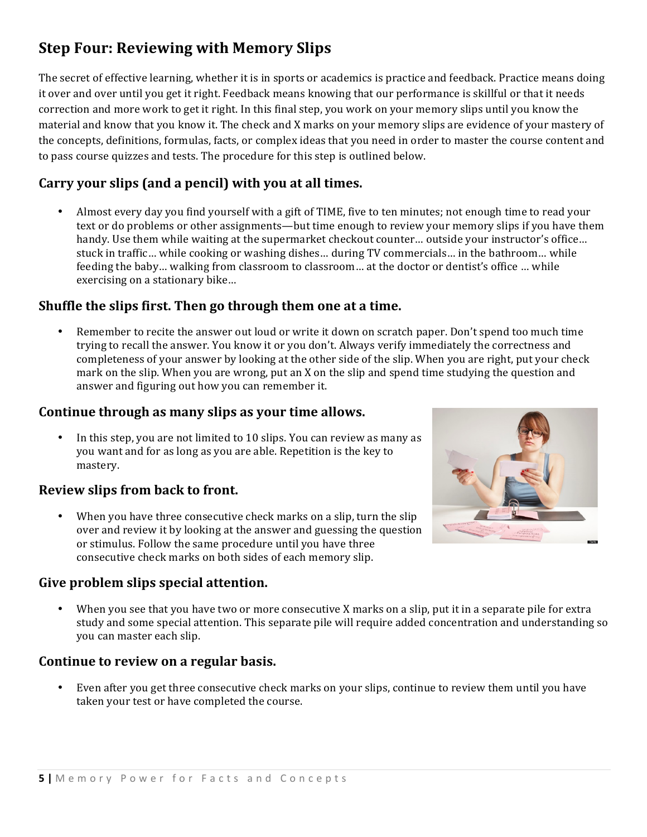# **Step Four: Reviewing with Memory Slips**

The secret of effective learning, whether it is in sports or academics is practice and feedback. Practice means doing it over and over until you get it right. Feedback means knowing that our performance is skillful or that it needs correction and more work to get it right. In this final step, you work on your memory slips until you know the material and know that you know it. The check and X marks on your memory slips are evidence of your mastery of the concepts, definitions, formulas, facts, or complex ideas that you need in order to master the course content and to pass course quizzes and tests. The procedure for this step is outlined below.

#### **Carry your slips (and a pencil) with you at all times.**

Almost every day you find yourself with a gift of TIME, five to ten minutes; not enough time to read your text or do problems or other assignments—but time enough to review your memory slips if you have them handy. Use them while waiting at the supermarket checkout counter… outside your instructor's office… stuck in traffic... while cooking or washing dishes... during TV commercials... in the bathroom... while feeding the baby… walking from classroom to classroom… at the doctor or dentist's office … while exercising on a stationary bike...

#### **Shuffle the slips first. Then go through them one at a time.**

Remember to recite the answer out loud or write it down on scratch paper. Don't spend too much time trying to recall the answer. You know it or you don't. Always verify immediately the correctness and completeness of your answer by looking at the other side of the slip. When you are right, put your check mark on the slip. When you are wrong, put an X on the slip and spend time studying the question and answer and figuring out how you can remember it.

#### Continue through as many slips as your time allows.

In this step, you are not limited to 10 slips. You can review as many as you want and for as long as you are able. Repetition is the key to mastery.

#### **Review slips from back to front.**

When you have three consecutive check marks on a slip, turn the slip over and review it by looking at the answer and guessing the question or stimulus. Follow the same procedure until you have three consecutive check marks on both sides of each memory slip.

#### Give problem slips special attention.

When you see that you have two or more consecutive X marks on a slip, put it in a separate pile for extra study and some special attention. This separate pile will require added concentration and understanding so you can master each slip.

#### **Continue to review on a regular basis.**

Even after you get three consecutive check marks on your slips, continue to review them until you have taken your test or have completed the course.